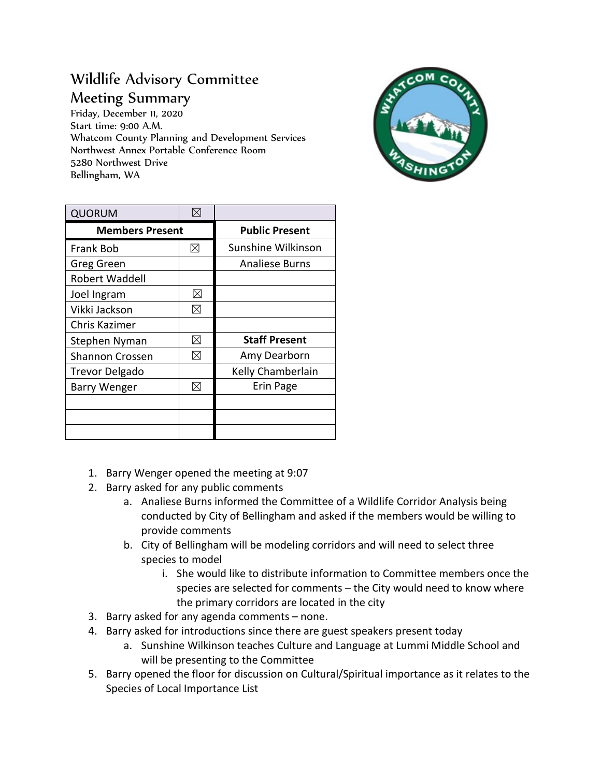## Wildlife Advisory Committee Meeting Summary

Friday, December 11, 2020 Start time: 9:00 A.M. Whatcom County Planning and Development Services Northwest Annex Portable Conference Room 5280 Northwest Drive Bellingham, WA



| <b>QUORUM</b>          | $\boxtimes$ |                       |
|------------------------|-------------|-----------------------|
| <b>Members Present</b> |             | <b>Public Present</b> |
| Frank Bob              | ⊠           | Sunshine Wilkinson    |
| Greg Green             |             | <b>Analiese Burns</b> |
| <b>Robert Waddell</b>  |             |                       |
| Joel Ingram            | ⊠           |                       |
| Vikki Jackson          | ⊠           |                       |
| Chris Kazimer          |             |                       |
| Stephen Nyman          | ⊠           | <b>Staff Present</b>  |
| <b>Shannon Crossen</b> | ⊠           | Amy Dearborn          |
| <b>Trevor Delgado</b>  |             | Kelly Chamberlain     |
| <b>Barry Wenger</b>    | ⊠           | Erin Page             |
|                        |             |                       |
|                        |             |                       |
|                        |             |                       |

- 1. Barry Wenger opened the meeting at 9:07
- 2. Barry asked for any public comments
	- a. Analiese Burns informed the Committee of a Wildlife Corridor Analysis being conducted by City of Bellingham and asked if the members would be willing to provide comments
	- b. City of Bellingham will be modeling corridors and will need to select three species to model
		- i. She would like to distribute information to Committee members once the species are selected for comments – the City would need to know where the primary corridors are located in the city
- 3. Barry asked for any agenda comments none.
- 4. Barry asked for introductions since there are guest speakers present today
	- a. Sunshine Wilkinson teaches Culture and Language at Lummi Middle School and will be presenting to the Committee
- 5. Barry opened the floor for discussion on Cultural/Spiritual importance as it relates to the Species of Local Importance List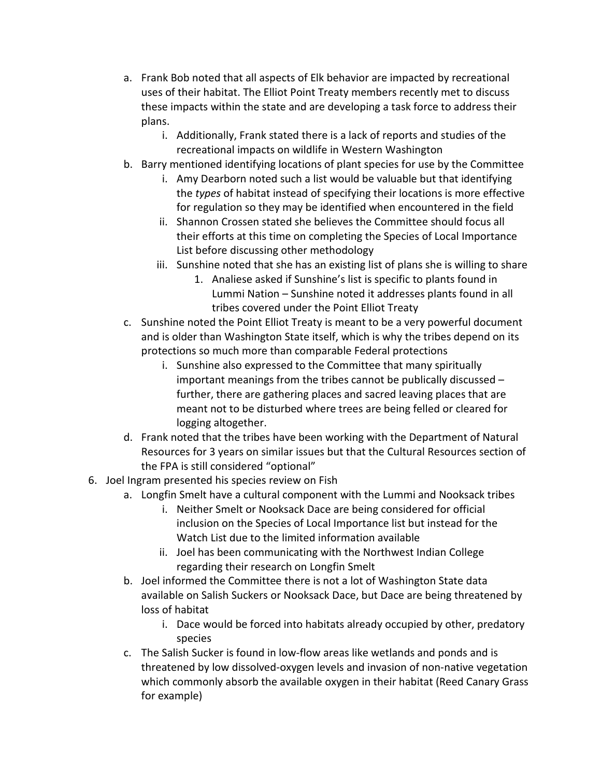- a. Frank Bob noted that all aspects of Elk behavior are impacted by recreational uses of their habitat. The Elliot Point Treaty members recently met to discuss these impacts within the state and are developing a task force to address their plans.
	- i. Additionally, Frank stated there is a lack of reports and studies of the recreational impacts on wildlife in Western Washington
- b. Barry mentioned identifying locations of plant species for use by the Committee
	- i. Amy Dearborn noted such a list would be valuable but that identifying the *types* of habitat instead of specifying their locations is more effective for regulation so they may be identified when encountered in the field
	- ii. Shannon Crossen stated she believes the Committee should focus all their efforts at this time on completing the Species of Local Importance List before discussing other methodology
	- iii. Sunshine noted that she has an existing list of plans she is willing to share
		- 1. Analiese asked if Sunshine's list is specific to plants found in Lummi Nation – Sunshine noted it addresses plants found in all tribes covered under the Point Elliot Treaty
- c. Sunshine noted the Point Elliot Treaty is meant to be a very powerful document and is older than Washington State itself, which is why the tribes depend on its protections so much more than comparable Federal protections
	- i. Sunshine also expressed to the Committee that many spiritually important meanings from the tribes cannot be publically discussed – further, there are gathering places and sacred leaving places that are meant not to be disturbed where trees are being felled or cleared for logging altogether.
- d. Frank noted that the tribes have been working with the Department of Natural Resources for 3 years on similar issues but that the Cultural Resources section of the FPA is still considered "optional"
- 6. Joel Ingram presented his species review on Fish
	- a. Longfin Smelt have a cultural component with the Lummi and Nooksack tribes
		- i. Neither Smelt or Nooksack Dace are being considered for official inclusion on the Species of Local Importance list but instead for the Watch List due to the limited information available
		- ii. Joel has been communicating with the Northwest Indian College regarding their research on Longfin Smelt
	- b. Joel informed the Committee there is not a lot of Washington State data available on Salish Suckers or Nooksack Dace, but Dace are being threatened by loss of habitat
		- i. Dace would be forced into habitats already occupied by other, predatory species
	- c. The Salish Sucker is found in low-flow areas like wetlands and ponds and is threatened by low dissolved-oxygen levels and invasion of non-native vegetation which commonly absorb the available oxygen in their habitat (Reed Canary Grass for example)